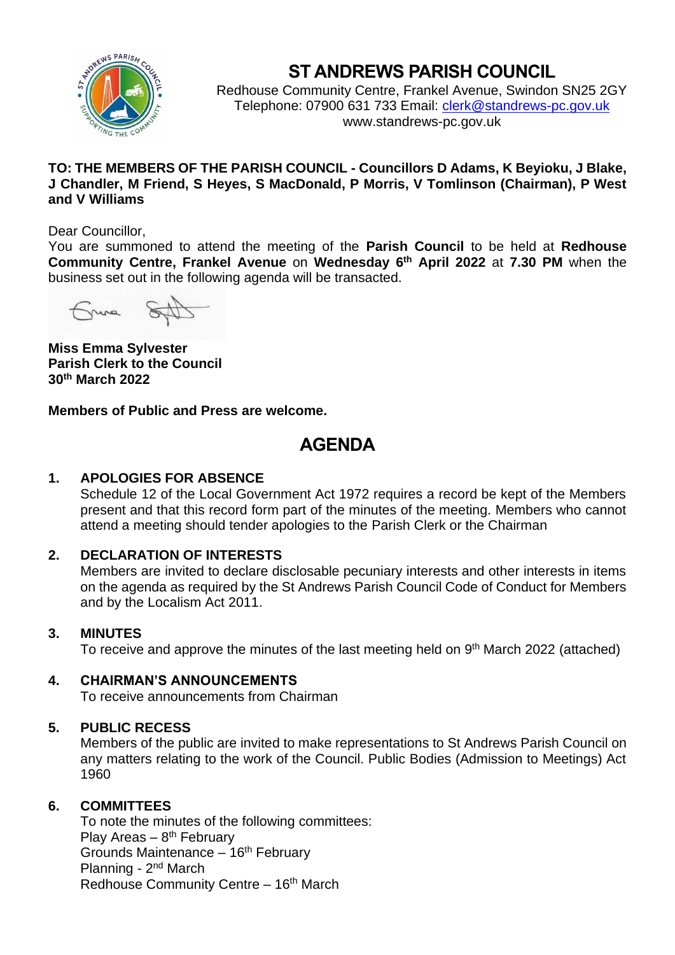

# **ST ANDREWS PARISH COUNCIL**

Redhouse Community Centre, Frankel Avenue, Swindon SN25 2GY Telephone: 07900 631 733 Email: [clerk@standrews-pc.gov.uk](mailto:clerk@standrews-pc.gov.uk) www.standrews-pc.gov.uk

## **TO: THE MEMBERS OF THE PARISH COUNCIL - Councillors D Adams, K Beyioku, J Blake, J Chandler, M Friend, S Heyes, S MacDonald, P Morris, V Tomlinson (Chairman), P West and V Williams**

## Dear Councillor,

You are summoned to attend the meeting of the **Parish Council** to be held at **Redhouse Community Centre, Frankel Avenue** on **Wednesday 6 th April 2022** at **7.30 PM** when the business set out in the following agenda will be transacted.

ma

**Miss Emma Sylvester Parish Clerk to the Council 30th March 2022**

**Members of Public and Press are welcome.** 

# **AGENDA**

# **1. APOLOGIES FOR ABSENCE**

Schedule 12 of the Local Government Act 1972 requires a record be kept of the Members present and that this record form part of the minutes of the meeting. Members who cannot attend a meeting should tender apologies to the Parish Clerk or the Chairman

# **2. DECLARATION OF INTERESTS**

Members are invited to declare disclosable pecuniary interests and other interests in items on the agenda as required by the St Andrews Parish Council Code of Conduct for Members and by the Localism Act 2011.

# **3. MINUTES**

To receive and approve the minutes of the last meeting held on 9<sup>th</sup> March 2022 (attached)

# **4. CHAIRMAN'S ANNOUNCEMENTS**

To receive announcements from Chairman

# **5. PUBLIC RECESS**

Members of the public are invited to make representations to St Andrews Parish Council on any matters relating to the work of the Council. Public Bodies (Admission to Meetings) Act 1960

# **6. COMMITTEES**

To note the minutes of the following committees: Play Areas – 8<sup>th</sup> February Grounds Maintenance  $-16<sup>th</sup>$  February Planning - 2<sup>nd</sup> March Redhouse Community Centre – 16<sup>th</sup> March